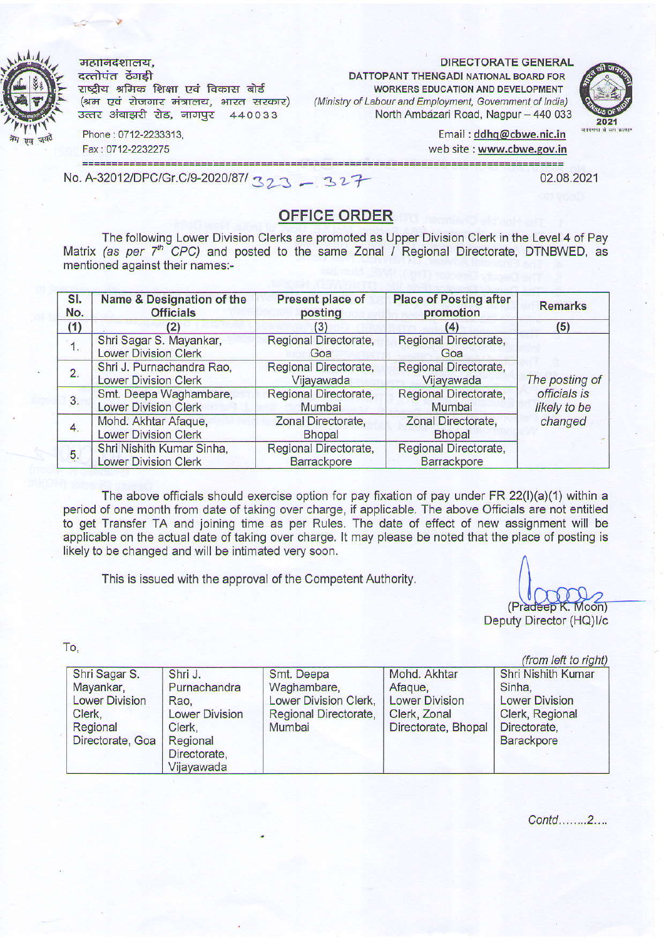महानिदेशालय,  $rac{1}{4}$ दत्तोपंत ठेंगडी राष्ट्रीय श्रमिक शिक्षा एवं विकास बोर्ड (श्रम एवं रोजगार मंत्रालय, भारत सरकार) उत्तर अंबाझरी रोड, नागपुर 440033

DIRECTORATE GENERAL

DATTOPANT THENGADI NATIONAL BOARD FOR WORKERS EDUCATION AND DEVELOPMENT (Ministry of Labour and Employment, Government of India) North Ambazari Road, Nagpur - 440 033



Email: ddhq@cbwe.nic.in web site : www.cbwe.gov.in<br>=======================

============= No. A-32012/DPC/Gr.C/9-2020/87/ 327 - 327

Phorc : 0712-2233313, Fax : 0712-2232275

02.08.2021

## OFFICE ORDER

The following Lower Division Clerks are promoted as The following Lower Division Clerks are promoted as Upper Division Clerk in the Level 4 of Pay<br>Matrix *(as per 7<sup>th</sup> CPC)* and posted to the same Zonal / Regional Directorate, DTNBWED, as mentioned against their names:-

| SI.<br>No.       | Name & Designation of the<br><b>Officials</b>            | Present place of<br>posting                 | <b>Place of Posting after</b><br>promotion  | <b>Remarks</b>                          |  |
|------------------|----------------------------------------------------------|---------------------------------------------|---------------------------------------------|-----------------------------------------|--|
| (1)              | (2)                                                      | (3)                                         | (4)                                         | (5)                                     |  |
| $\overline{1}$ . | Shri Sagar S. Mayankar,<br><b>Lower Division Clerk</b>   | Regional Directorate,<br>Goa                | Regional Directorate,<br>Goa                | The posting of                          |  |
| 2.               | Shri J. Purnachandra Rao,<br><b>Lower Division Clerk</b> | Regional Directorate,<br>Vijayawada         | Regional Directorate,<br>Vijayawada         |                                         |  |
| 3.               | Smt. Deepa Waghambare,<br><b>Lower Division Clerk</b>    | Regional Directorate,<br>Mumbai             | Regional Directorate,<br>Mumbai             | officials is<br>likely to be<br>changed |  |
| 4.               | Mohd. Akhtar Afaque,<br><b>Lower Division Clerk</b>      | Zonal Directorate,<br><b>Bhopal</b>         | Zonal Directorate,<br><b>Bhopal</b>         |                                         |  |
| 5.               | Shri Nishith Kumar Sinha,<br><b>Lower Division Clerk</b> | Regional Directorate,<br><b>Barrackpore</b> | Regional Directorate,<br><b>Barrackpore</b> |                                         |  |

The above officials should exercise option for pay fixation of pay under FR 22(I)(a)(1) within a period of one month from date of taking over charge, if applicable. The above Officials are not entitled to get Transfer TA and joining time as per Rules. The date of effect of new assignment will be applicable on the actual date of taking over charge. It may please be noted that the place of posting is likely to be changed and will be intimated very soon.

This is issued with the approval of the Competent Authority.

(Pradeep K. Moon) Deputy Director (HQ)I/c

 $(\text{from left to right})$ 

To,

| Shri Sagar S.                                                                           | Shri J.                                                                               | Smt. Deepa                                                              | Mohd. Akhtar                                                            | Shri Nishith Kumar                                                                      |
|-----------------------------------------------------------------------------------------|---------------------------------------------------------------------------------------|-------------------------------------------------------------------------|-------------------------------------------------------------------------|-----------------------------------------------------------------------------------------|
| Mayankar,<br><b>Lower Division</b><br>Clerk,<br>Regional<br>Directorate, Goa   Regional | Purnachandra<br>Rao.<br><b>Lower Division</b><br>Clerk,<br>Directorate,<br>Vijayawada | Waghambare,<br>Lower Division Clerk,<br>Regional Directorate,<br>Mumbai | Afaque,<br><b>Lower Division</b><br>Clerk, Zonal<br>Directorate, Bhopal | Sinha,<br><b>Lower Division</b><br>Clerk, Regional<br>Directorate,<br><b>Barackpore</b> |

Contd........2....